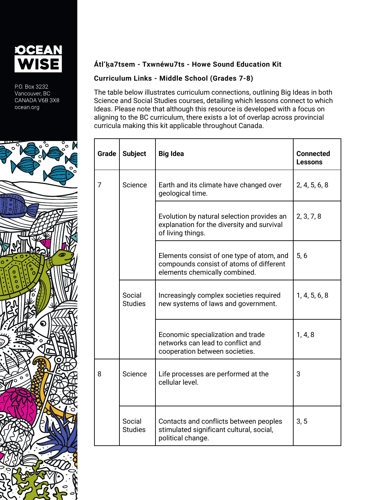

P.O. Box 3232 Vancouver, BC CANADA V6B 3X8 ocean.org



## **Átl'ḵa7tsem - Txwnéwu7ts - Howe Sound Education Kit**

## **Curriculum Links - Middle School (Grades 7-8)**

The table below illustrates curriculum connections, outlining Big Ideas in both Science and Social Studies courses, detailing which lessons connect to which Ideas. Please note that although this resource is developed with a focus on aligning to the BC curriculum, there exists a lot of overlap across provincial curricula making this kit applicable throughout Canada.

| Grade | <b>Subject</b>           | <b>Big Idea</b>                                                                                                       | <b>Connected</b><br><b>Lessons</b> |
|-------|--------------------------|-----------------------------------------------------------------------------------------------------------------------|------------------------------------|
| 7     | Science                  | Earth and its climate have changed over<br>geological time.                                                           | 2, 4, 5, 6, 8                      |
|       |                          | Evolution by natural selection provides an<br>explanation for the diversity and survival<br>of living things.         | 2, 3, 7, 8                         |
|       |                          | Elements consist of one type of atom, and<br>compounds consist of atoms of different<br>elements chemically combined. | 5, 6                               |
|       | Social<br><b>Studies</b> | Increasingly complex societies required<br>new systems of laws and government.                                        | 1, 4, 5, 6, 8                      |
|       |                          | Economic specialization and trade<br>networks can lead to conflict and<br>cooperation between societies.              | 1, 4, 8                            |
| 8     | Science                  | Life processes are performed at the<br>cellular level.                                                                | 3                                  |
|       | Social<br><b>Studies</b> | Contacts and conflicts between peoples<br>stimulated significant cultural, social,<br>political change.               | 3, 5                               |